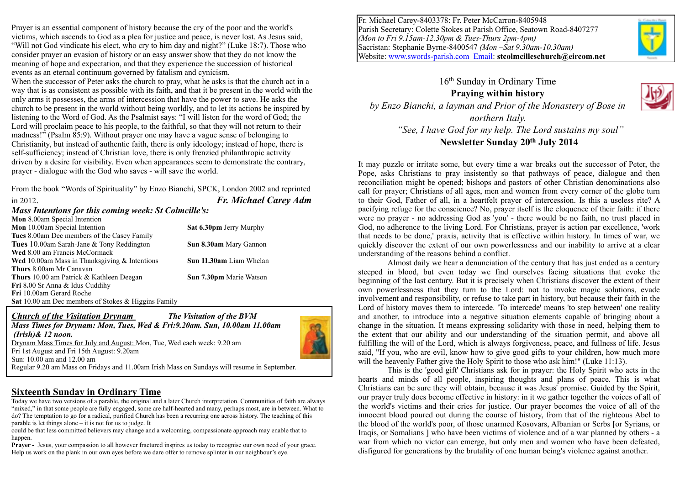Prayer is an essential component of history because the cry of the poor and the world's victims, which ascends to God as a plea for justice and peace, is never lost. As Jesus said, "Will not God vindicate his elect, who cry to him day and night?" (Luke 18:7). Those who consider prayer an evasion of history or an easy answer show that they do not know the meaning of hope and expectation, and that they experience the succession of historical events as an eternal continuum governed by fatalism and cynicism.

When the successor of Peter asks the church to pray, what he asks is that the church act in a way that is as consistent as possible with its faith, and that it be present in the world with the only arms it possesses, the arms of intercession that have the power to save. He asks the church to be present in the world without being worldly, and to let its actions be inspired by listening to the Word of God. As the Psalmist says: "I will listen for the word of God; the Lord will proclaim peace to his people, to the faithful, so that they will not return to their madness!" (Psalm 85:9). Without prayer one may have a vague sense of belonging to Christianity, but instead of authentic faith, there is only ideology; instead of hope, there is self-sufficiency; instead of Christian love, there is only frenzied philanthropic activity driven by a desire for visibility. Even when appearances seem to demonstrate the contrary, prayer - dialogue with the God who saves - will save the world.

From the book "Words of Spirituality" by Enzo Bianchi, SPCK, London 2002 and reprinted in 2012. *Fr. Michael Carey Adm*

#### *Mass Intentions for this coming week: St Colmcille's:*

| <b>Mon</b> 8.00am Special Intention                        |                                |
|------------------------------------------------------------|--------------------------------|
| <b>Mon</b> 10.00am Special Intention                       | Sat 6.30pm Jerry Murphy        |
| <b>Tues</b> 8.00am Dec members of the Casey Family         |                                |
| <b>Tues</b> 10.00am Sarah-Jane & Tony Reddington           | Sun 8.30am Mary Gannon         |
| Wed 8.00 am Francis McCormack                              |                                |
| <b>Wed</b> 10.00am Mass in Thanksgiving $\&$ Intentions    | <b>Sun 11.30am</b> Liam Whelan |
| Thurs 8.00am Mr Canavan                                    |                                |
| <b>Thurs</b> 10.00 am Patrick & Kathleen Deegan            | Sun 7.30pm Marie Watson        |
| <b>Fri</b> 8.00 Sr Anna & Idus Cuddihy                     |                                |
| Fri 10.00am Gerard Roche                                   |                                |
| <b>Sat</b> 10.00 am Dec members of Stokes & Higgins Family |                                |

*Church of the Visitation Drynam The Visitation of the BVM Mass Times for Drynam: Mon, Tues, Wed & Fri:9.20am. Sun, 10.00am 11.00am (Irish)& 12 noon.*  Drynam Mass Times for July and August: Mon, Tue, Wed each week: 9.20 am Fri 1st August and Fri 15th August: 9.20am Sun: 10.00 am and 12.00 am Regular 9.20 am Mass on Fridays and 11.00am Irish Mass on Sundays will resume in September.

### **Sixteenth Sunday in Ordinary Time**

Today we have two versions of a parable, the original and a later Church interpretation. Communities of faith are always "mixed," in that some people are fully engaged, some are half-hearted and many, perhaps most, are in between. What to do? The temptation to go for a radical, purified Church has been a recurring one across history. The teaching of this parable is let things alone – it is not for us to judge. It

could be that less committed believers may change and a welcoming, compassionate approach may enable that to happen.

**Prayer -** Jesus, your compassion to all however fractured inspires us today to recognise our own need of your grace. Help us work on the plank in our own eyes before we dare offer to remove splinter in our neighbour's eye.

Fr. Michael Carey-8403378: Fr. Peter McCarron-8405948 Parish Secretary: Colette Stokes at Parish Office, Seatown Road-8407277 *(Mon to Fri 9.15am-12.30pm & Tues-Thurs 2pm-4pm)* Sacristan: Stephanie Byrne-8400547 *(Mon –Sat 9.30am-10.30am)* Website: [www.swords-parish.com Email:](http://www.swords-parish.com%20%20email) **stcolmcilleschurch@eircom.net**

16th Sunday in Ordinary Time **Praying within history**  *by Enzo Bianchi, a layman and Prior of the Monastery of Bose in* 

*northern Italy. "See, I have God for my help. The Lord sustains my soul"* 

**Newsletter Sunday 20th July 2014** 

It may puzzle or irritate some, but every time a war breaks out the successor of Peter, the Pope, asks Christians to pray insistently so that pathways of peace, dialogue and then reconciliation might be opened; bishops and pastors of other Christian denominations also call for prayer; Christians of all ages, men and women from every corner of the globe turn to their God, Father of all, in a heartfelt prayer of intercession. Is this a useless rite? A pacifying refuge for the conscience? No, prayer itself is the eloquence of their faith: if there were no prayer - no addressing God as 'you' - there would be no faith, no trust placed in God, no adherence to the living Lord. For Christians, prayer is action par excellence, 'work that needs to be done,' praxis, activity that is effective within history. In times of war, we quickly discover the extent of our own powerlessness and our inability to arrive at a clear understanding of the reasons behind a conflict.

Almost daily we hear a denunciation of the century that has just ended as a century steeped in blood, but even today we find ourselves facing situations that evoke the beginning of the last century. But it is precisely when Christians discover the extent of their own powerlessness that they turn to the Lord: not to invoke magic solutions, evade involvement and responsibility, or refuse to take part in history, but because their faith in the Lord of history moves them to intercede. 'To intercede' means 'to step between' one reality and another, to introduce into a negative situation elements capable of bringing about a change in the situation. It means expressing solidarity with those in need, helping them to the extent that our ability and our understanding of the situation permit, and above all fulfilling the will of the Lord, which is always forgiveness, peace, and fullness of life. Jesus said, "If you, who are evil, know how to give good gifts to your children, how much more will the heavenly Father give the Holy Spirit to those who ask him!" (Luke 11:13).

This is the 'good gift' Christians ask for in prayer: the Holy Spirit who acts in the hearts and minds of all people, inspiring thoughts and plans of peace. This is what Christians can be sure they will obtain, because it was Jesus' promise. Guided by the Spirit, our prayer truly does become effective in history: in it we gather together the voices of all of the world's victims and their cries for justice. Our prayer becomes the voice of all of the innocent blood poured out during the course of history, from that of the righteous Abel to the blood of the world's poor, of those unarmed Kosovars, Albanian or Serbs [or Syrians, or Iraqis, or Somalians ] who have been victims of violence and of a war planned by others - a war from which no victor can emerge, but only men and women who have been defeated, disfigured for generations by the brutality of one human being's violence against another.